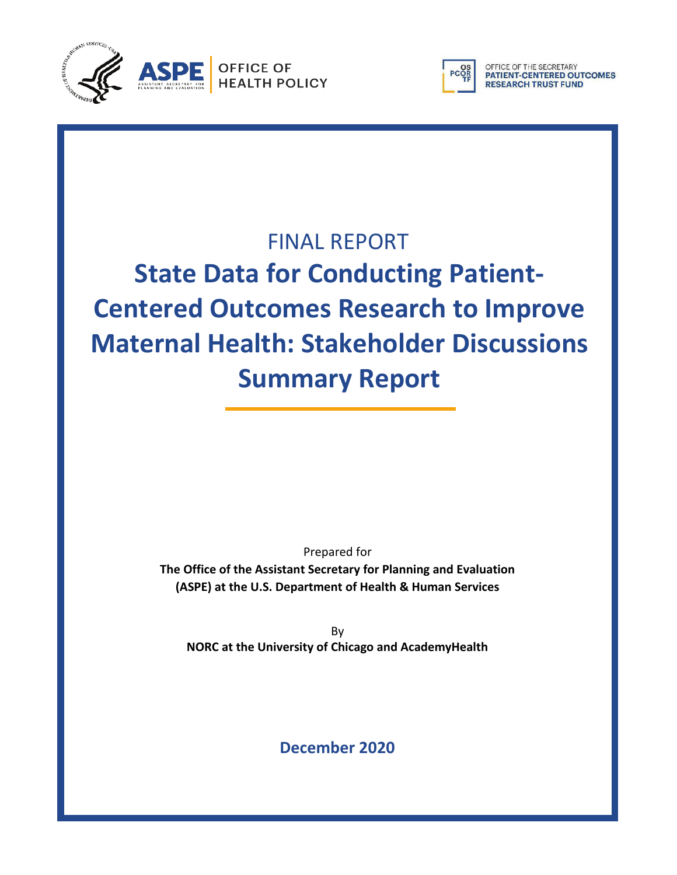



OFFICE OF THE SECRETARY<br>**PATIENT-CENTERED OUTCOMES RESEARCH TRUST FUND** 

## FINAL REPORT

# **State Data for Conducting Patient-Centered Outcomes Research to Improve Maternal Health: Stakeholder Discussions Summary Report**

Prepared for **The Office of the Assistant Secretary for Planning and Evaluation (ASPE) at the U.S. Department of Health & Human Services**

By **NORC at the University of Chicago and AcademyHealth**

**December 2020**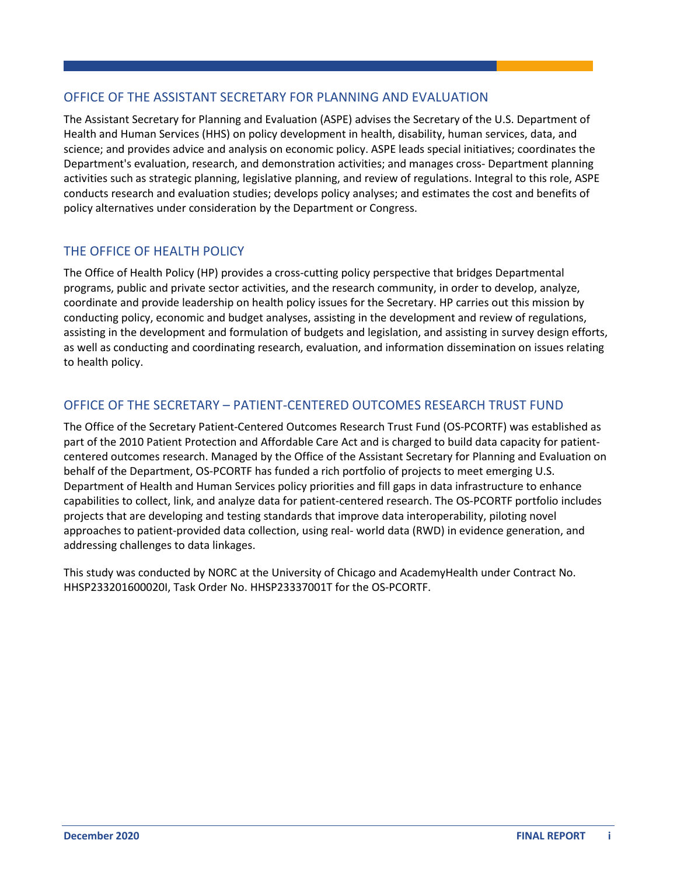#### OFFICE OF THE ASSISTANT SECRETARY FOR PLANNING AND EVALUATION

The Assistant Secretary for Planning and Evaluation (ASPE) advises the Secretary of the U.S. Department of Health and Human Services (HHS) on policy development in health, disability, human services, data, and science; and provides advice and analysis on economic policy. ASPE leads special initiatives; coordinates the Department's evaluation, research, and demonstration activities; and manages cross- Department planning activities such as strategic planning, legislative planning, and review of regulations. Integral to this role, ASPE conducts research and evaluation studies; develops policy analyses; and estimates the cost and benefits of policy alternatives under consideration by the Department or Congress.

#### THE OFFICE OF HEALTH POLICY

The Office of Health Policy (HP) provides a cross-cutting policy perspective that bridges Departmental programs, public and private sector activities, and the research community, in order to develop, analyze, coordinate and provide leadership on health policy issues for the Secretary. HP carries out this mission by conducting policy, economic and budget analyses, assisting in the development and review of regulations, assisting in the development and formulation of budgets and legislation, and assisting in survey design efforts, as well as conducting and coordinating research, evaluation, and information dissemination on issues relating to health policy.

#### OFFICE OF THE SECRETARY – PATIENT-CENTERED OUTCOMES RESEARCH TRUST FUND

The Office of the Secretary Patient-Centered Outcomes Research Trust Fund (OS-PCORTF) was established as part of the 2010 Patient Protection and Affordable Care Act and is charged to build data capacity for patientcentered outcomes research. Managed by the Office of the Assistant Secretary for Planning and Evaluation on behalf of the Department, OS-PCORTF has funded a rich portfolio of projects to meet emerging U.S. Department of Health and Human Services policy priorities and fill gaps in data infrastructure to enhance capabilities to collect, link, and analyze data for patient-centered research. The OS-PCORTF portfolio includes projects that are developing and testing standards that improve data interoperability, piloting novel approaches to patient-provided data collection, using real- world data (RWD) in evidence generation, and addressing challenges to data linkages.

This study was conducted by NORC at the University of Chicago and AcademyHealth under Contract No. HHSP233201600020I, Task Order No. HHSP23337001T for the OS-PCORTF.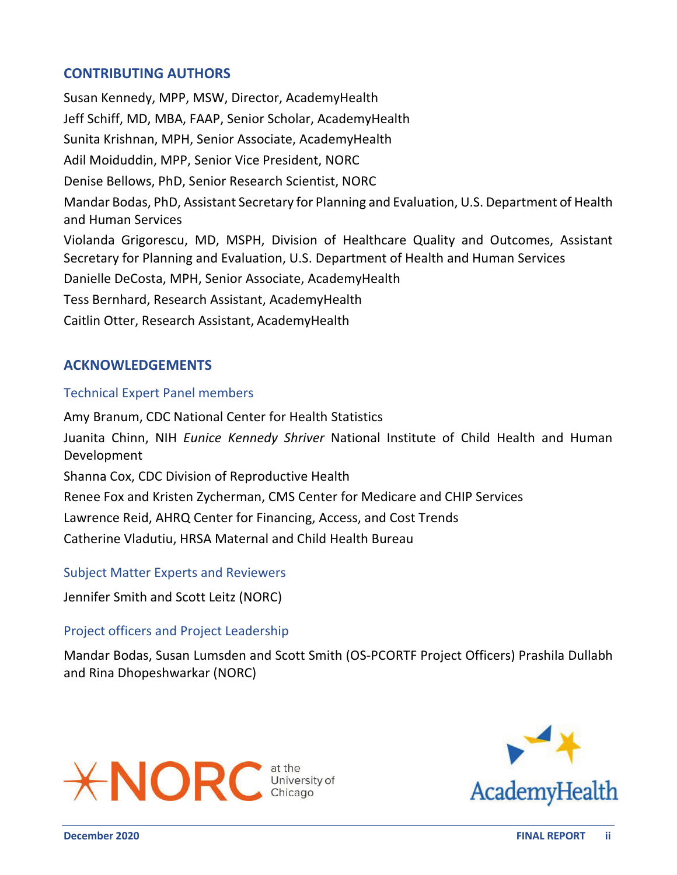#### **CONTRIBUTING AUTHORS**

Susan Kennedy, MPP, MSW, Director, AcademyHealth Jeff Schiff, MD, MBA, FAAP, Senior Scholar, AcademyHealth Sunita Krishnan, MPH, Senior Associate, AcademyHealth Adil Moiduddin, MPP, Senior Vice President, NORC Denise Bellows, PhD, Senior Research Scientist, NORC Mandar Bodas, PhD, Assistant Secretary for Planning and Evaluation, U.S. Department of Health and Human Services Violanda Grigorescu, MD, MSPH, Division of Healthcare Quality and Outcomes, Assistant Secretary for Planning and Evaluation, U.S. Department of Health and Human Services Danielle DeCosta, MPH, Senior Associate, AcademyHealth Tess Bernhard, Research Assistant, AcademyHealth Caitlin Otter, Research Assistant, AcademyHealth

#### **ACKNOWLEDGEMENTS**

#### Technical Expert Panel members

Amy Branum, CDC National Center for Health Statistics Juanita Chinn, NIH *Eunice Kennedy Shriver* National Institute of Child Health and Human Development Shanna Cox, CDC Division of Reproductive Health Renee Fox and Kristen Zycherman, CMS Center for Medicare and CHIP Services Lawrence Reid, AHRQ Center for Financing, Access, and Cost Trends Catherine Vladutiu, HRSA Maternal and Child Health Bureau

#### Subject Matter Experts and Reviewers

Jennifer Smith and Scott Leitz (NORC)

#### Project officers and Project Leadership

Mandar Bodas, Susan Lumsden and Scott Smith (OS-PCORTF Project Officers) Prashila Dullabh and Rina Dhopeshwarkar (NORC)



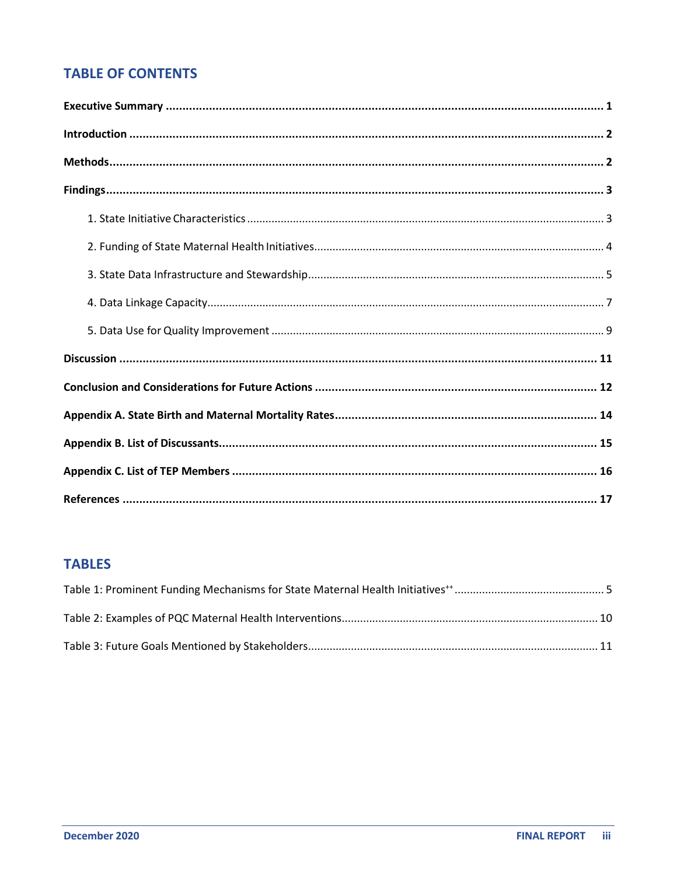## **TABLE OF CONTENTS**

## **TABLES**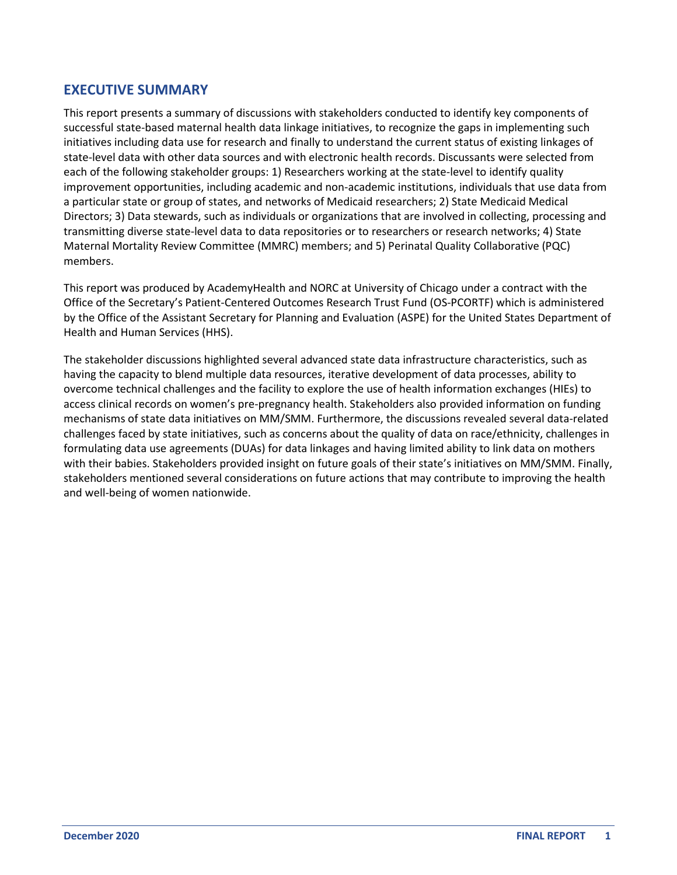#### <span id="page-4-0"></span>**EXECUTIVE SUMMARY**

This report presents a summary of discussions with stakeholders conducted to identify key components of successful state-based maternal health data linkage initiatives, to recognize the gaps in implementing such initiatives including data use for research and finally to understand the current status of existing linkages of state-level data with other data sources and with electronic health records. Discussants were selected from each of the following stakeholder groups: 1) Researchers working at the state-level to identify quality improvement opportunities, including academic and non-academic institutions, individuals that use data from a particular state or group of states, and networks of Medicaid researchers; 2) State Medicaid Medical Directors; 3) Data stewards, such as individuals or organizations that are involved in collecting, processing and transmitting diverse state-level data to data repositories or to researchers or research networks; 4) State Maternal Mortality Review Committee (MMRC) members; and 5) Perinatal Quality Collaborative (PQC) members.

This report was produced by AcademyHealth and NORC at University of Chicago under a contract with the Office of the Secretary's Patient-Centered Outcomes Research Trust Fund (OS-PCORTF) which is administered by the Office of the Assistant Secretary for Planning and Evaluation (ASPE) for the United States Department of Health and Human Services (HHS).

The stakeholder discussions highlighted several advanced state data infrastructure characteristics, such as having the capacity to blend multiple data resources, iterative development of data processes, ability to overcome technical challenges and the facility to explore the use of health information exchanges (HIEs) to access clinical records on women's pre-pregnancy health. Stakeholders also provided information on funding mechanisms of state data initiatives on MM/SMM. Furthermore, the discussions revealed several data-related challenges faced by state initiatives, such as concerns about the quality of data on race/ethnicity, challenges in formulating data use agreements (DUAs) for data linkages and having limited ability to link data on mothers with their babies. Stakeholders provided insight on future goals of their state's initiatives on MM/SMM. Finally, stakeholders mentioned several considerations on future actions that may contribute to improving the health and well-being of women nationwide.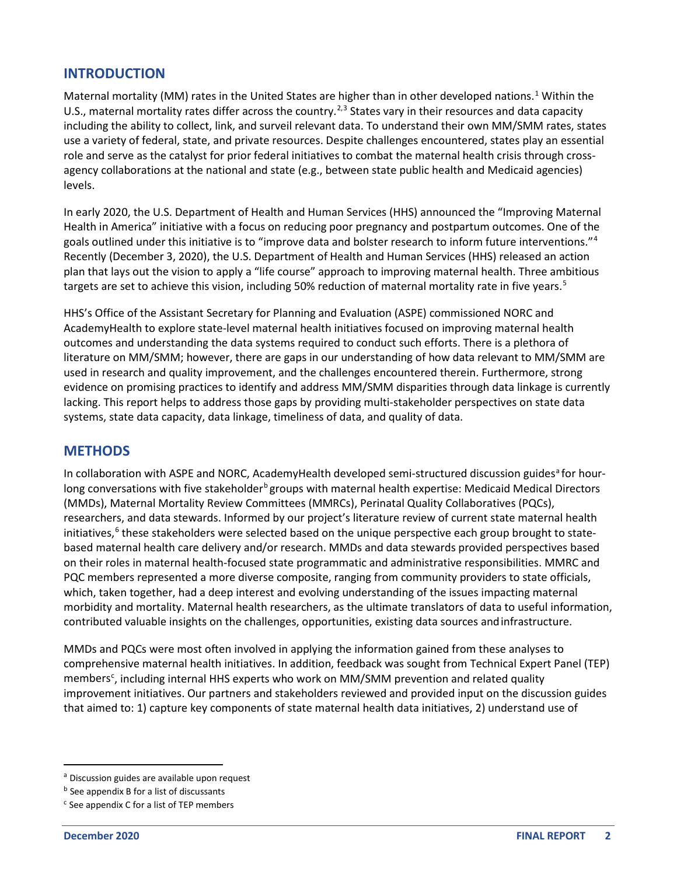#### <span id="page-5-0"></span>**INTRODUCTION**

Maternal mortality (MM) rates in the United States are higher than in other developed nations.<sup>[1](#page-19-0)</sup> Within the U.S., maternal mortality rates differ across the country.<sup>[2](#page-19-0),[3](#page-19-0)</sup> States vary in their resources and data capacity including the ability to collect, link, and surveil relevant data. To understand their own MM/SMM rates, states use a variety of federal, state, and private resources. Despite challenges encountered, states play an essential role and serve as the catalyst for prior federal initiatives to combat the maternal health crisis through crossagency collaborations at the national and state (e.g., between state public health and Medicaid agencies) levels.

In early 2020, the U.S. Department of Health and Human Services (HHS) announced the "Improving Maternal Health in America" initiative with a focus on reducing poor pregnancy and postpartum outcomes. One of the goals outlined under this initiative is to "improve data and bolster research to inform future interventions."[4](#page-19-0) Recently (December 3, 2020), the U.S. Department of Health and Human Services (HHS) released an action plan that lays out the vision to apply a "life course" approach to improving maternal health. Three ambitious targets are set to achieve this vision, including 50% reduction of maternal mortality rate in five years. [5](#page-19-0)

HHS's Office of the Assistant Secretary for Planning and Evaluation (ASPE) commissioned NORC and AcademyHealth to explore state-level maternal health initiatives focused on improving maternal health outcomes and understanding the data systems required to conduct such efforts. There is a plethora of literature on MM/SMM; however, there are gaps in our understanding of how data relevant to MM/SMM are used in research and quality improvement, and the challenges encountered therein. Furthermore, strong evidence on promising practices to identify and address MM/SMM disparities through data linkage is currently lacking. This report helps to address those gaps by providing multi-stakeholder perspectives on state data systems, state data capacity, data linkage, timeliness of data, and quality of data.

#### <span id="page-5-1"></span>**METHODS**

In coll[a](#page-5-2)boration with ASPE and NORC, AcademyHealth developed semi-structured discussion guides<sup>a</sup> for hourlong conversations with five stakeholder<sup>[b](#page-5-3)</sup> groups with maternal health expertise: Medicaid Medical Directors (MMDs), Maternal Mortality Review Committees (MMRCs), Perinatal Quality Collaboratives (PQCs), researchers, and data stewards. Informed by our project's literature review of current state maternal health initiatives,<sup>[6](#page-19-0)</sup> these stakeholders were selected based on the unique perspective each group brought to statebased maternal health care delivery and/or research. MMDs and data stewards provided perspectives based on their roles in maternal health-focused state programmatic and administrative responsibilities. MMRC and PQC members represented a more diverse composite, ranging from community providers to state officials, which, taken together, had a deep interest and evolving understanding of the issues impacting maternal morbidity and mortality. Maternal health researchers, as the ultimate translators of data to useful information, contributed valuable insights on the challenges, opportunities, existing data sources andinfrastructure.

MMDs and PQCs were most often involved in applying the information gained from these analyses to comprehensive maternal health initiatives. In addition, feedback was sought from Technical Expert Panel (TEP) members<sup>[c](#page-5-4)</sup>, including internal HHS experts who work on MM/SMM prevention and related quality improvement initiatives. Our partners and stakeholders reviewed and provided input on the discussion guides that aimed to: 1) capture key components of state maternal health data initiatives, 2) understand use of

<span id="page-5-2"></span>a Discussion guides are available upon request

<span id="page-5-3"></span>**b** See appendix B for a list of discussants

<span id="page-5-4"></span> $c$  See appendix C for a list of TEP members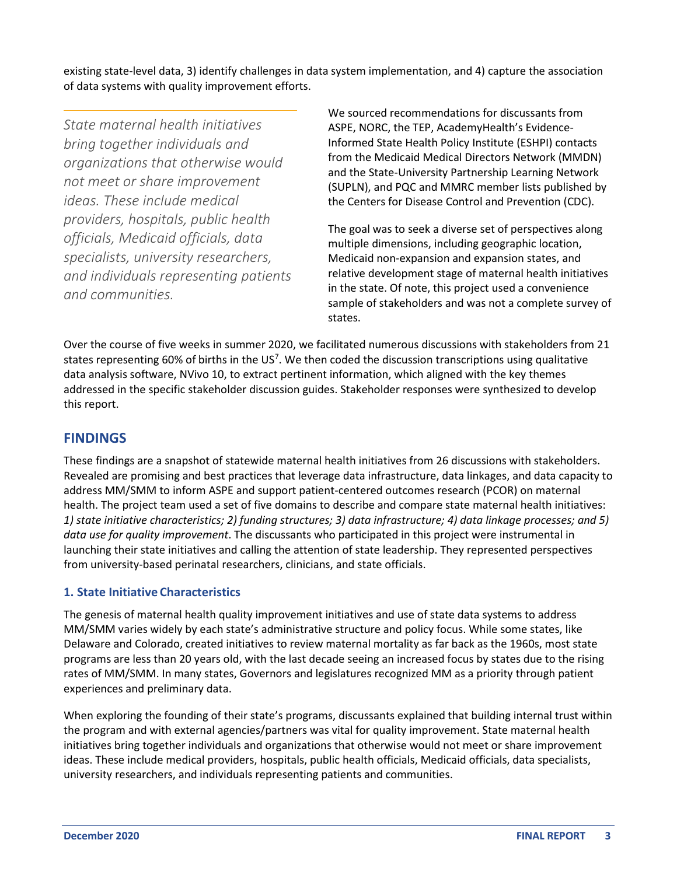existing state-level data, 3) identify challenges in data system implementation, and 4) capture the association of data systems with quality improvement efforts.

*State maternal health initiatives bring together individuals and organizations that otherwise would not meet or share improvement ideas. These include medical providers, hospitals, public health officials, Medicaid officials, data specialists, university researchers, and individuals representing patients and communities.*

We sourced recommendations for discussants from ASPE, NORC, the TEP, AcademyHealth's Evidence-Informed State Health Policy Institute (ESHPI) contacts from the Medicaid Medical Directors Network (MMDN) and the State-University Partnership Learning Network (SUPLN), and PQC and MMRC member lists published by the Centers for Disease Control and Prevention (CDC).

The goal was to seek a diverse set of perspectives along multiple dimensions, including geographic location, Medicaid non-expansion and expansion states, and relative development stage of maternal health initiatives in the state. Of note, this project used a convenience sample of stakeholders and was not a complete survey of states.

Over the course of five weeks in summer 2020, we facilitated numerous discussions with stakeholders from 21 states representing 60% of births in the US<sup>[7](#page-19-0)</sup>. We then coded the discussion transcriptions using qualitative data analysis software, NVivo 10, to extract pertinent information, which aligned with the key themes addressed in the specific stakeholder discussion guides. Stakeholder responses were synthesized to develop this report.

#### <span id="page-6-0"></span>**FINDINGS**

These findings are a snapshot of statewide maternal health initiatives from 26 discussions with stakeholders. Revealed are promising and best practices that leverage data infrastructure, data linkages, and data capacity to address MM/SMM to inform ASPE and support patient-centered outcomes research (PCOR) on maternal health. The project team used a set of five domains to describe and compare state maternal health initiatives: *1) state initiative characteristics; 2) funding structures; 3) data infrastructure; 4) data linkage processes; and 5) data use for quality improvement*. The discussants who participated in this project were instrumental in launching their state initiatives and calling the attention of state leadership. They represented perspectives from university-based perinatal researchers, clinicians, and state officials.

#### <span id="page-6-1"></span>**1. State Initiative Characteristics**

The genesis of maternal health quality improvement initiatives and use of state data systems to address MM/SMM varies widely by each state's administrative structure and policy focus. While some states, like Delaware and Colorado, created initiatives to review maternal mortality as far back as the 1960s, most state programs are less than 20 years old, with the last decade seeing an increased focus by states due to the rising rates of MM/SMM. In many states, Governors and legislatures recognized MM as a priority through patient experiences and preliminary data.

When exploring the founding of their state's programs, discussants explained that building internal trust within the program and with external agencies/partners was vital for quality improvement. State maternal health initiatives bring together individuals and organizations that otherwise would not meet or share improvement ideas. These include medical providers, hospitals, public health officials, Medicaid officials, data specialists, university researchers, and individuals representing patients and communities.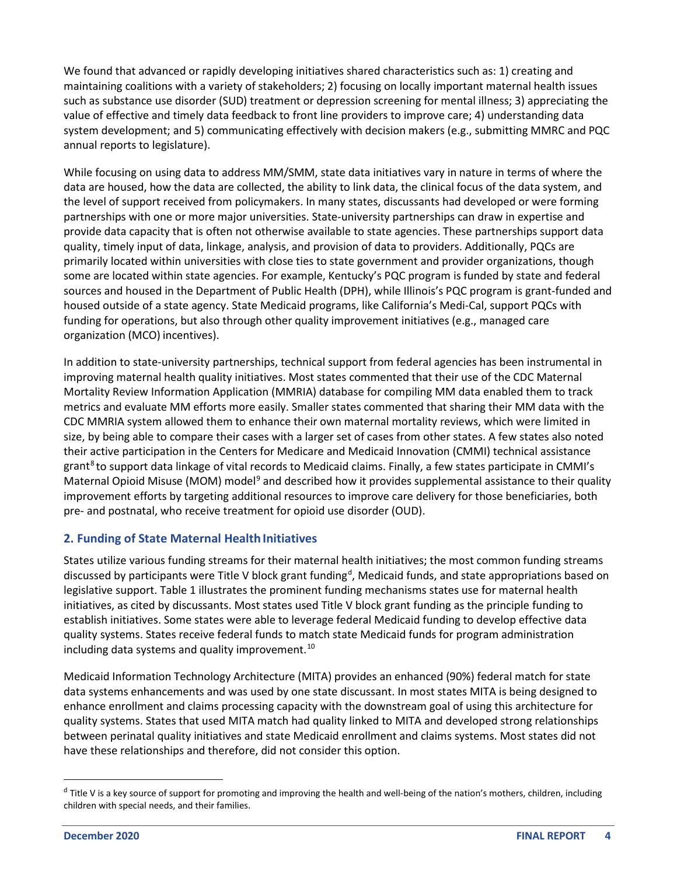We found that advanced or rapidly developing initiatives shared characteristics such as: 1) creating and maintaining coalitions with a variety of stakeholders; 2) focusing on locally important maternal health issues such as substance use disorder (SUD) treatment or depression screening for mental illness; 3) appreciating the value of effective and timely data feedback to front line providers to improve care; 4) understanding data system development; and 5) communicating effectively with decision makers (e.g., submitting MMRC and PQC annual reports to legislature).

While focusing on using data to address MM/SMM, state data initiatives vary in nature in terms of where the data are housed, how the data are collected, the ability to link data, the clinical focus of the data system, and the level of support received from policymakers. In many states, discussants had developed or were forming partnerships with one or more major universities. State-university partnerships can draw in expertise and provide data capacity that is often not otherwise available to state agencies. These partnerships support data quality, timely input of data, linkage, analysis, and provision of data to providers. Additionally, PQCs are primarily located within universities with close ties to state government and provider organizations, though some are located within state agencies. For example, Kentucky's PQC program is funded by state and federal sources and housed in the Department of Public Health (DPH), while Illinois's PQC program is grant-funded and housed outside of a state agency. State Medicaid programs, like California's Medi-Cal, support PQCs with funding for operations, but also through other quality improvement initiatives (e.g., managed care organization (MCO) incentives).

In addition to state-university partnerships, technical support from federal agencies has been instrumental in improving maternal health quality initiatives. Most states commented that their use of the CDC Maternal Mortality Review Information Application (MMRIA) database for compiling MM data enabled them to track metrics and evaluate MM efforts more easily. Smaller states commented that sharing their MM data with the CDC MMRIA system allowed them to enhance their own maternal mortality reviews, which were limited in size, by being able to compare their cases with a larger set of cases from other states. A few states also noted their active participation in the Centers for Medicare and Medicaid Innovation (CMMI) technical assistance grant<sup>[8](#page-19-0)</sup> to support data linkage of vital records to Medicaid claims. Finally, a few states participate in CMMI's Maternal Opioid Misuse (MOM) model<sup>[9](#page-19-0)</sup> and described how it provides supplemental assistance to their quality improvement efforts by targeting additional resources to improve care delivery for those beneficiaries, both pre- and postnatal, who receive treatment for opioid use disorder (OUD).

#### <span id="page-7-0"></span>**2. Funding of State Maternal Health Initiatives**

States utilize various funding streams for their maternal health initiatives; the most common funding streams [d](#page-7-1)iscussed by participants were Title V block grant funding<sup>d</sup>, Medicaid funds, and state appropriations based on legislative support. Table 1 illustrates the prominent funding mechanisms states use for maternal health initiatives, as cited by discussants. Most states used Title V block grant funding as the principle funding to establish initiatives. Some states were able to leverage federal Medicaid funding to develop effective data quality systems. States receive federal funds to match state Medicaid funds for program administration including data systems and quality improvement.<sup>[10](#page-19-0)</sup>

Medicaid Information Technology Architecture (MITA) provides an enhanced (90%) federal match for state data systems enhancements and was used by one state discussant. In most states MITA is being designed to enhance enrollment and claims processing capacity with the downstream goal of using this architecture for quality systems. States that used MITA match had quality linked to MITA and developed strong relationships between perinatal quality initiatives and state Medicaid enrollment and claims systems. Most states did not have these relationships and therefore, did not consider this option.

<span id="page-7-1"></span><sup>&</sup>lt;sup>d</sup> Title V is a key source of support for promoting and improving the health and well-being of the nation's mothers, children, including children with special needs, and their families.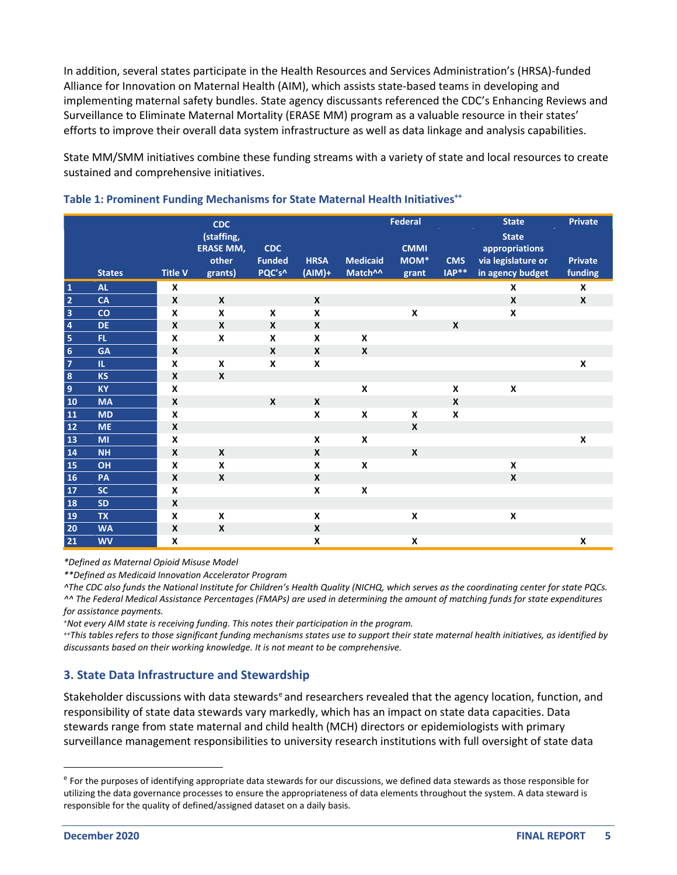In addition, several states participate in the Health Resources and Services Administration's (HRSA)-funded Alliance for Innovation on Maternal Health (AIM), which assists state-based teams in developing and implementing maternal safety bundles. State agency discussants referenced the CDC's Enhancing Reviews and Surveillance to Eliminate Maternal Mortality (ERASE MM) program as a valuable resource in their states' efforts to improve their overall data system infrastructure as well as data linkage and analysis capabilities.

State MM/SMM initiatives combine these funding streams with a variety of state and local resources to create sustained and comprehensive initiatives.

|                         |               |                  | <b>CDC</b>                                         |                                       |                         |                                        | <b>Federal</b>                           |                           | <b>State</b>                                                             | <b>Private</b>            |
|-------------------------|---------------|------------------|----------------------------------------------------|---------------------------------------|-------------------------|----------------------------------------|------------------------------------------|---------------------------|--------------------------------------------------------------------------|---------------------------|
|                         | <b>States</b> | <b>Title V</b>   | (staffing,<br><b>ERASE MM,</b><br>other<br>grants) | <b>CDC</b><br><b>Funded</b><br>PQC's^ | <b>HRSA</b><br>$(AIM)+$ | <b>Medicaid</b><br>Match <sup>^^</sup> | <b>CMMI</b><br>MOM <sup>*</sup><br>grant | <b>CMS</b><br>$IAP**$     | <b>State</b><br>appropriations<br>via legislature or<br>in agency budget | <b>Private</b><br>funding |
| $\mathbf 1$             | <b>AL</b>     | X                |                                                    |                                       |                         |                                        |                                          |                           | X                                                                        | X                         |
| $\overline{2}$          | <b>CA</b>     | $\boldsymbol{x}$ | $\boldsymbol{x}$                                   |                                       | X                       |                                        |                                          |                           | $\boldsymbol{x}$                                                         | X                         |
| $\overline{\mathbf{3}}$ | co            | X                | X                                                  | X                                     | X                       |                                        | $\pmb{\times}$                           |                           | X                                                                        |                           |
| $\overline{\mathbf{4}}$ | <b>DE</b>     | $\boldsymbol{x}$ | $\boldsymbol{x}$                                   | X                                     | X                       |                                        |                                          | $\boldsymbol{\mathsf{x}}$ |                                                                          |                           |
| $\sqrt{5}$              | FL.           | X                | X                                                  | X                                     | X                       | $\pmb{\mathsf{x}}$                     |                                          |                           |                                                                          |                           |
| $6\overline{6}$         | <b>GA</b>     | X                |                                                    | $\mathsf{x}$                          | X                       | X                                      |                                          |                           |                                                                          |                           |
| $\overline{7}$          | Ш.            | X                | X                                                  | X                                     | X                       |                                        |                                          |                           |                                                                          | X                         |
| $\overline{\mathbf{8}}$ | <b>KS</b>     | $\boldsymbol{x}$ | $\boldsymbol{x}$                                   |                                       |                         |                                        |                                          |                           |                                                                          |                           |
| $\boldsymbol{9}$        | <b>KY</b>     | $\boldsymbol{x}$ |                                                    |                                       |                         | $\pmb{\mathsf{x}}$                     |                                          | $\pmb{\times}$            | $\pmb{\mathsf{x}}$                                                       |                           |
| 10                      | <b>MA</b>     | X                |                                                    | X                                     | X                       |                                        |                                          | $\boldsymbol{x}$          |                                                                          |                           |
| <b>11</b>               | <b>MD</b>     | X                |                                                    |                                       | X                       | $\pmb{\mathsf{X}}$                     | X                                        | X                         |                                                                          |                           |
| $12$                    | <b>ME</b>     | $\boldsymbol{x}$ |                                                    |                                       |                         |                                        | $\pmb{\mathsf{X}}$                       |                           |                                                                          |                           |
| 13                      | MI            | X                |                                                    |                                       | X                       | X                                      |                                          |                           |                                                                          | $\pmb{\times}$            |
| 14                      | <b>NH</b>     | X                | X                                                  |                                       | X                       |                                        | $\mathbf{x}$                             |                           |                                                                          |                           |
| 15                      | OH            | X                | X                                                  |                                       | X                       | X                                      |                                          |                           | X                                                                        |                           |
| 16                      | PA            | X                | X                                                  |                                       | X                       |                                        |                                          |                           | $\boldsymbol{x}$                                                         |                           |
| 17                      | SC.           | X                |                                                    |                                       | X                       | $\pmb{\mathsf{X}}$                     |                                          |                           |                                                                          |                           |
| 18                      | <b>SD</b>     | X                |                                                    |                                       |                         |                                        |                                          |                           |                                                                          |                           |
| 19                      | <b>TX</b>     | X                | X                                                  |                                       | X                       |                                        | X                                        |                           | $\pmb{\mathsf{x}}$                                                       |                           |
| 20                      | <b>WA</b>     | $\boldsymbol{x}$ | $\boldsymbol{x}$                                   |                                       | X                       |                                        |                                          |                           |                                                                          |                           |
| 21                      | <b>WV</b>     | X                |                                                    |                                       | X                       |                                        | X                                        |                           |                                                                          | X                         |

#### <span id="page-8-1"></span>Table 1: Prominent Funding Mechanisms for State Maternal Health Initiatives<sup>++</sup>

*\*Defined as Maternal Opioid Misuse Model*

*\*\*Defined as Medicaid Innovation Accelerator Program*

*^The CDC also funds the National Institute for Children's Health Quality (NICHQ, which serves as the coordinating center for state PQCs. ^^ The Federal Medical Assistance Percentages (FMAPs) are used in determining the amount of matching funds for state expenditures for assistance payments.*

*+Not every AIM state is receiving funding. This notes their participation in the program.*

*++This tables refers to those significant funding mechanisms states use to support their state maternal health initiatives, as identified by discussants based on their working knowledge. It is not meant to be comprehensive.*

#### <span id="page-8-0"></span>**3. State Data Infrastructure and Stewardship**

Stak[e](#page-8-2)holder discussions with data stewards<sup>e</sup> and researchers revealed that the agency location, function, and responsibility of state data stewards vary markedly, which has an impact on state data capacities. Data stewards range from state maternal and child health (MCH) directors or epidemiologists with primary surveillance management responsibilities to university research institutions with full oversight of state data

<span id="page-8-2"></span><sup>&</sup>lt;sup>e</sup> For the purposes of identifying appropriate data stewards for our discussions, we defined data stewards as those responsible for utilizing the data governance processes to ensure the appropriateness of data elements throughout the system. A data steward is responsible for the quality of defined/assigned dataset on a daily basis.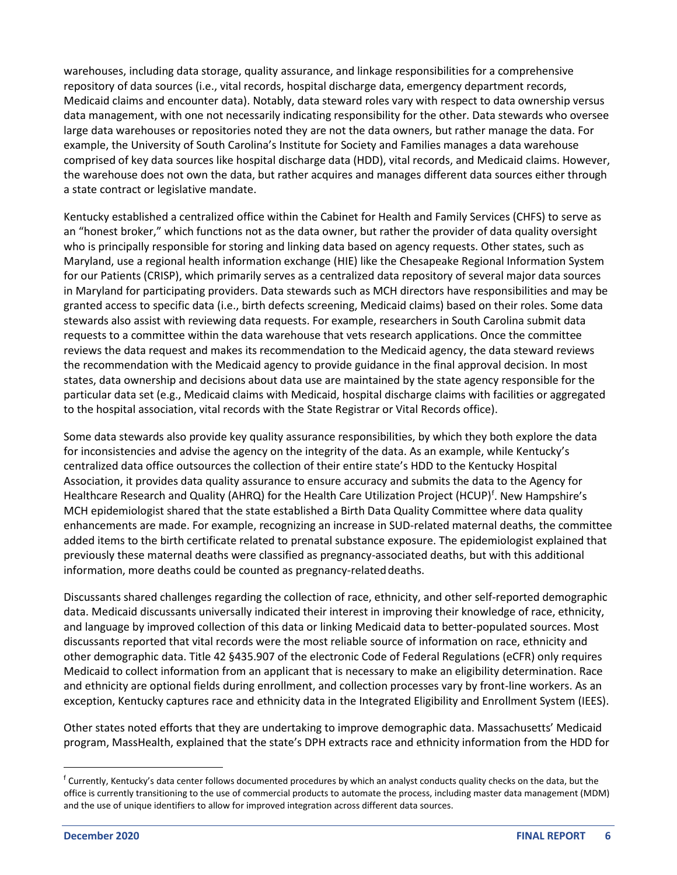warehouses, including data storage, quality assurance, and linkage responsibilities for a comprehensive repository of data sources (i.e., vital records, hospital discharge data, emergency department records, Medicaid claims and encounter data). Notably, data steward roles vary with respect to data ownership versus data management, with one not necessarily indicating responsibility for the other. Data stewards who oversee large data warehouses or repositories noted they are not the data owners, but rather manage the data. For example, the University of South Carolina's Institute for Society and Families manages a data warehouse comprised of key data sources like hospital discharge data (HDD), vital records, and Medicaid claims. However, the warehouse does not own the data, but rather acquires and manages different data sources either through a state contract or legislative mandate.

Kentucky established a centralized office within the Cabinet for Health and Family Services (CHFS) to serve as an "honest broker," which functions not as the data owner, but rather the provider of data quality oversight who is principally responsible for storing and linking data based on agency requests. Other states, such as Maryland, use a regional health information exchange (HIE) like the Chesapeake Regional Information System for our Patients (CRISP), which primarily serves as a centralized data repository of several major data sources in Maryland for participating providers. Data stewards such as MCH directors have responsibilities and may be granted access to specific data (i.e., birth defects screening, Medicaid claims) based on their roles. Some data stewards also assist with reviewing data requests. For example, researchers in South Carolina submit data requests to a committee within the data warehouse that vets research applications. Once the committee reviews the data request and makes its recommendation to the Medicaid agency, the data steward reviews the recommendation with the Medicaid agency to provide guidance in the final approval decision. In most states, data ownership and decisions about data use are maintained by the state agency responsible for the particular data set (e.g., Medicaid claims with Medicaid, hospital discharge claims with facilities or aggregated to the hospital association, vital records with the State Registrar or Vital Records office).

Some data stewards also provide key quality assurance responsibilities, by which they both explore the data for inconsistencies and advise the agency on the integrity of the data. As an example, while Kentucky's centralized data office outsources the collection of their entire state's HDD to the Kentucky Hospital Association, it provides data quality assurance to ensure accuracy and submits the data to the Agency for Healthcare Research and Quality (AHRQ) [f](#page-9-0)or the Health Care Utilization Project (HCUP)<sup>f</sup>. New Hampshire's MCH epidemiologist shared that the state established a Birth Data Quality Committee where data quality enhancements are made. For example, recognizing an increase in SUD-related maternal deaths, the committee added items to the birth certificate related to prenatal substance exposure. The epidemiologist explained that previously these maternal deaths were classified as pregnancy-associated deaths, but with this additional information, more deaths could be counted as pregnancy-related deaths.

Discussants shared challenges regarding the collection of race, ethnicity, and other self-reported demographic data. Medicaid discussants universally indicated their interest in improving their knowledge of race, ethnicity, and language by improved collection of this data or linking Medicaid data to better-populated sources. Most discussants reported that vital records were the most reliable source of information on race, ethnicity and other demographic data. Title 42 §435.907 of the electronic Code of Federal Regulations (eCFR) only requires Medicaid to collect information from an applicant that is necessary to make an eligibility determination. Race and ethnicity are optional fields during enrollment, and collection processes vary by front-line workers. As an exception, Kentucky captures race and ethnicity data in the Integrated Eligibility and Enrollment System (IEES).

Other states noted efforts that they are undertaking to improve demographic data. Massachusetts' Medicaid program, MassHealth, explained that the state's DPH extracts race and ethnicity information from the HDD for

<span id="page-9-0"></span><sup>f</sup> Currently, Kentucky's data center follows documented procedures by which an analyst conducts quality checks on the data, but the office is currently transitioning to the use of commercial products to automate the process, including master data management (MDM) and the use of unique identifiers to allow for improved integration across different data sources.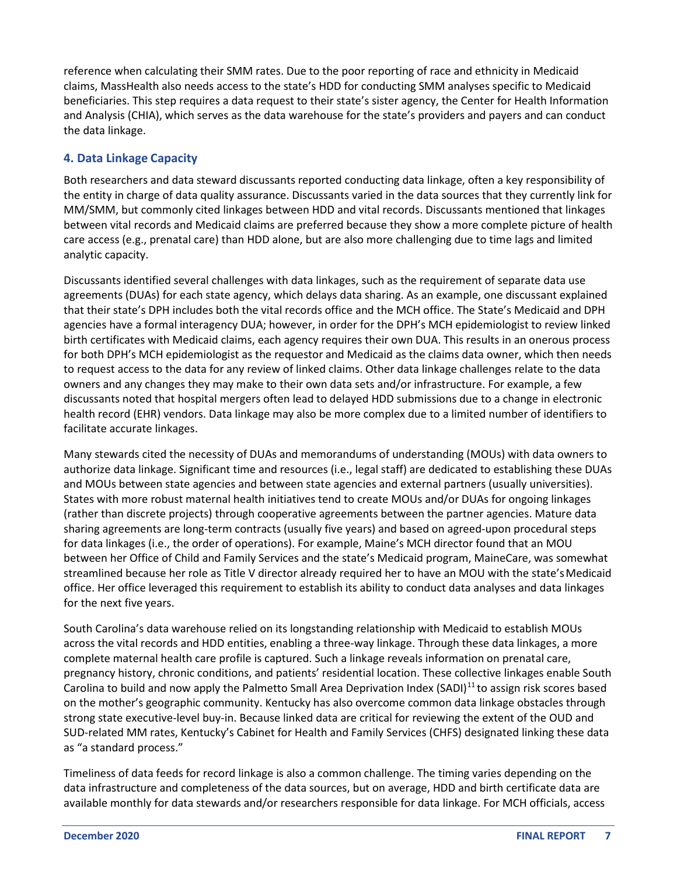<span id="page-10-0"></span>reference when calculating their SMM rates. Due to the poor reporting of race and ethnicity in Medicaid claims, MassHealth also needs access to the state's HDD for conducting SMM analyses specific to Medicaid beneficiaries. This step requires a data request to their state's sister agency, the Center for Health Information and Analysis (CHIA), which serves as the data warehouse for the state's providers and payers and can conduct the data linkage.

#### **4. Data Linkage Capacity**

Both researchers and data steward discussants reported conducting data linkage, often a key responsibility of the entity in charge of data quality assurance. Discussants varied in the data sources that they currently link for MM/SMM, but commonly cited linkages between HDD and vital records. Discussants mentioned that linkages between vital records and Medicaid claims are preferred because they show a more complete picture of health care access (e.g., prenatal care) than HDD alone, but are also more challenging due to time lags and limited analytic capacity.

Discussants identified several challenges with data linkages, such as the requirement of separate data use agreements (DUAs) for each state agency, which delays data sharing. As an example, one discussant explained that their state's DPH includes both the vital records office and the MCH office. The State's Medicaid and DPH agencies have a formal interagency DUA; however, in order for the DPH's MCH epidemiologist to review linked birth certificates with Medicaid claims, each agency requires their own DUA. This results in an onerous process for both DPH's MCH epidemiologist as the requestor and Medicaid as the claims data owner, which then needs to request access to the data for any review of linked claims. Other data linkage challenges relate to the data owners and any changes they may make to their own data sets and/or infrastructure. For example, a few discussants noted that hospital mergers often lead to delayed HDD submissions due to a change in electronic health record (EHR) vendors. Data linkage may also be more complex due to a limited number of identifiers to facilitate accurate linkages.

Many stewards cited the necessity of DUAs and memorandums of understanding (MOUs) with data owners to authorize data linkage. Significant time and resources (i.e., legal staff) are dedicated to establishing these DUAs and MOUs between state agencies and between state agencies and external partners (usually universities). States with more robust maternal health initiatives tend to create MOUs and/or DUAs for ongoing linkages (rather than discrete projects) through cooperative agreements between the partner agencies. Mature data sharing agreements are long-term contracts (usually five years) and based on agreed-upon procedural steps for data linkages (i.e., the order of operations). For example, Maine's MCH director found that an MOU between her Office of Child and Family Services and the state's Medicaid program, MaineCare, was somewhat streamlined because her role as Title V director already required her to have an MOU with the state's Medicaid office. Her office leveraged this requirement to establish its ability to conduct data analyses and data linkages for the next five years.

South Carolina's data warehouse relied on its longstanding relationship with Medicaid to establish MOUs across the vital records and HDD entities, enabling a three-way linkage. Through these data linkages, a more complete maternal health care profile is captured. Such a linkage reveals information on prenatal care, pregnancy history, chronic conditions, and patients' residential location. These collective linkages enable South Carolina to build and now apply the Palmetto Small Area Deprivation Index (SADI)<sup>[11](#page-19-1)</sup> to assign risk scores based on the mother's geographic community. Kentucky has also overcome common data linkage obstacles through strong state executive-level buy-in. Because linked data are critical for reviewing the extent of the OUD and SUD-related MM rates, Kentucky's Cabinet for Health and Family Services (CHFS) designated linking these data as "a standard process."

Timeliness of data feeds for record linkage is also a common challenge. The timing varies depending on the data infrastructure and completeness of the data sources, but on average, HDD and birth certificate data are available monthly for data stewards and/or researchers responsible for data linkage. For MCH officials, access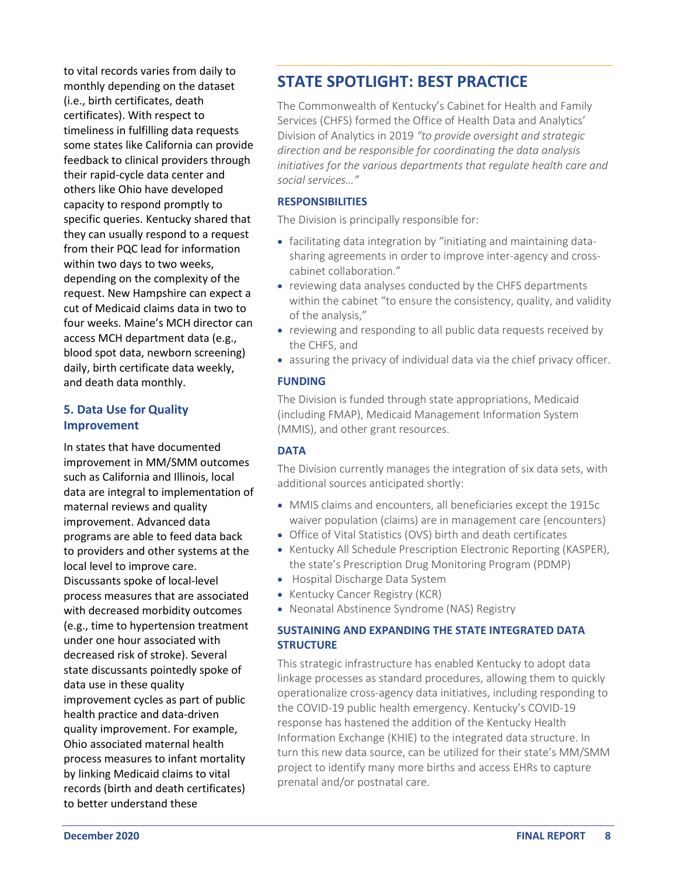<span id="page-11-0"></span>to vital records varies from daily to monthly depending on the dataset (i.e., birth certificates, death certificates). With respect to timeliness in fulfilling data requests some states like California can provide feedback to clinical providers through their rapid-cycle data center and others like Ohio have developed capacity to respond promptly to specific queries. Kentucky shared that they can usually respond to a request from their PQC lead for information within two days to two weeks, depending on the complexity of the request. New Hampshire can expect a cut of Medicaid claims data in two to four weeks. Maine's MCH director can access MCH department data (e.g., blood spot data, newborn screening) daily, birth certificate data weekly, and death data monthly.

#### **5. Data Use for Quality Improvement**

In states that have documented improvement in MM/SMM outcomes such as California and Illinois, local data are integral to implementation of maternal reviews and quality improvement. Advanced data programs are able to feed data back to providers and other systems at the local level to improve care. Discussants spoke of local-level process measures that are associated with decreased morbidity outcomes (e.g., time to hypertension treatment under one hour associated with decreased risk of stroke). Several state discussants pointedly spoke of data use in these quality improvement cycles as part of public health practice and data-driven quality improvement. For example, Ohio associated maternal health process measures to infant mortality by linking Medicaid claims to vital records (birth and death certificates) to better understand these

## **STATE SPOTLIGHT: BEST PRACTICE**

The Commonwealth of Kentucky's Cabinet for Health and Family Services (CHFS) formed the Office of Health Data and Analytics' Division of Analytics in 2019 *"to provide oversight and strategic direction and be responsible for coordinating the data analysis initiatives for the various departments that regulate health care and social services…"*

#### **RESPONSIBILITIES**

The Division is principally responsible for:

- facilitating data integration by "initiating and maintaining datasharing agreements in order to improve inter-agency and crosscabinet collaboration."
- reviewing data analyses conducted by the CHFS departments within the cabinet "to ensure the consistency, quality, and validity of the analysis,"
- reviewing and responding to all public data requests received by the CHFS, and
- assuring the privacy of individual data via the chief privacy officer.

#### **FUNDING**

The Division is funded through state appropriations, Medicaid (including FMAP), Medicaid Management Information System (MMIS), and other grant resources.

#### **DATA**

The Division currently manages the integration of six data sets, with additional sources anticipated shortly:

- MMIS claims and encounters, all beneficiaries except the 1915c waiver population (claims) are in management care (encounters)
- Office of Vital Statistics (OVS) birth and death certificates
- Kentucky All Schedule Prescription Electronic Reporting (KASPER), the state's Prescription Drug Monitoring Program (PDMP)
- Hospital Discharge Data System
- Kentucky Cancer Registry (KCR)
- Neonatal Abstinence Syndrome (NAS) Registry

#### **SUSTAINING AND EXPANDING THE STATE INTEGRATED DATA STRUCTURE**

This strategic infrastructure has enabled Kentucky to adopt data linkage processes as standard procedures, allowing them to quickly operationalize cross-agency data initiatives, including responding to the COVID-19 public health emergency. Kentucky's COVID-19 response has hastened the addition of the Kentucky Health Information Exchange (KHIE) to the integrated data structure. In turn this new data source, can be utilized for their state's MM/SMM project to identify many more births and access EHRs to capture prenatal and/or postnatal care.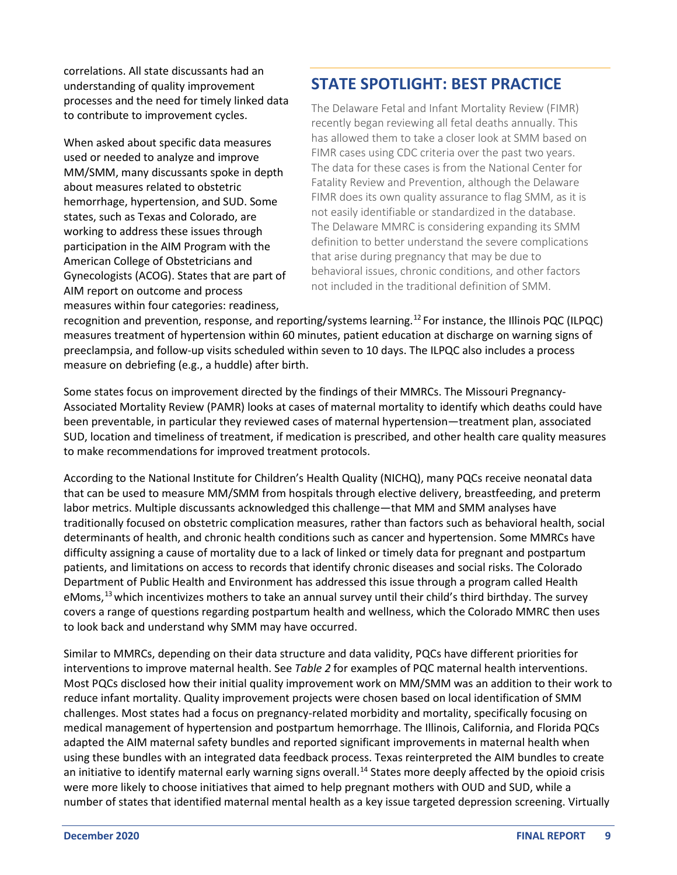correlations. All state discussants had an understanding of quality improvement processes and the need for timely linked data to contribute to improvement cycles.

When asked about specific data measures used or needed to analyze and improve MM/SMM, many discussants spoke in depth about measures related to obstetric hemorrhage, hypertension, and SUD. Some states, such as Texas and Colorado, are working to address these issues through participation in the AIM Program with the American College of Obstetricians and Gynecologists (ACOG). States that are part of AIM report on outcome and process measures within four categories: readiness,

## **STATE SPOTLIGHT: BEST PRACTICE**

The Delaware Fetal and Infant Mortality Review (FIMR) recently began reviewing all fetal deaths annually. This has allowed them to take a closer look at SMM based on FIMR cases using CDC criteria over the past two years. The data for these cases is from the National Center for Fatality Review and Prevention, although the Delaware FIMR does its own quality assurance to flag SMM, as it is not easily identifiable or standardized in the database. The Delaware MMRC is considering expanding its SMM definition to better understand the severe complications that arise during pregnancy that may be due to behavioral issues, chronic conditions, and other factors not included in the traditional definition of SMM.

recognition and prevention, response, and reporting/systems learning.[12](#page-19-2) For instance, the Illinois PQC (ILPQC) measures treatment of hypertension within 60 minutes, patient education at discharge on warning signs of preeclampsia, and follow-up visits scheduled within seven to 10 days. The ILPQC also includes a process measure on debriefing (e.g., a huddle) after birth.

Some states focus on improvement directed by the findings of their MMRCs. The Missouri Pregnancy-Associated Mortality Review (PAMR) looks at cases of maternal mortality to identify which deaths could have been preventable, in particular they reviewed cases of maternal hypertension—treatment plan, associated SUD, location and timeliness of treatment, if medication is prescribed, and other health care quality measures to make recommendations for improved treatment protocols.

According to the National Institute for Children's Health Quality (NICHQ), many PQCs receive neonatal data that can be used to measure MM/SMM from hospitals through elective delivery, breastfeeding, and preterm labor metrics. Multiple discussants acknowledged this challenge—that MM and SMM analyses have traditionally focused on obstetric complication measures, rather than factors such as behavioral health, social determinants of health, and chronic health conditions such as cancer and hypertension. Some MMRCs have difficulty assigning a cause of mortality due to a lack of linked or timely data for pregnant and postpartum patients, and limitations on access to records that identify chronic diseases and social risks. The Colorado Department of Public Health and Environment has addressed this issue through a program called Health eMoms,<sup>[13](#page-19-3)</sup> which incentivizes mothers to take an annual survey until their child's third birthday. The survey covers a range of questions regarding postpartum health and wellness, which the Colorado MMRC then uses to look back and understand why SMM may have occurred.

Similar to MMRCs, depending on their data structure and data validity, PQCs have different priorities for interventions to improve maternal health. See *Table 2* for examples of PQC maternal health interventions. Most PQCs disclosed how their initial quality improvement work on MM/SMM was an addition to their work to reduce infant mortality. Quality improvement projects were chosen based on local identification of SMM challenges. Most states had a focus on pregnancy-related morbidity and mortality, specifically focusing on medical management of hypertension and postpartum hemorrhage. The Illinois, California, and Florida PQCs adapted the AIM maternal safety bundles and reported significant improvements in maternal health when using these bundles with an integrated data feedback process. Texas reinterpreted the AIM bundles to create an initiative to identify maternal early warning signs overall.<sup>[14](#page-19-4)</sup> States more deeply affected by the opioid crisis were more likely to choose initiatives that aimed to help pregnant mothers with OUD and SUD, while a number of states that identified maternal mental health as a key issue targeted depression screening. Virtually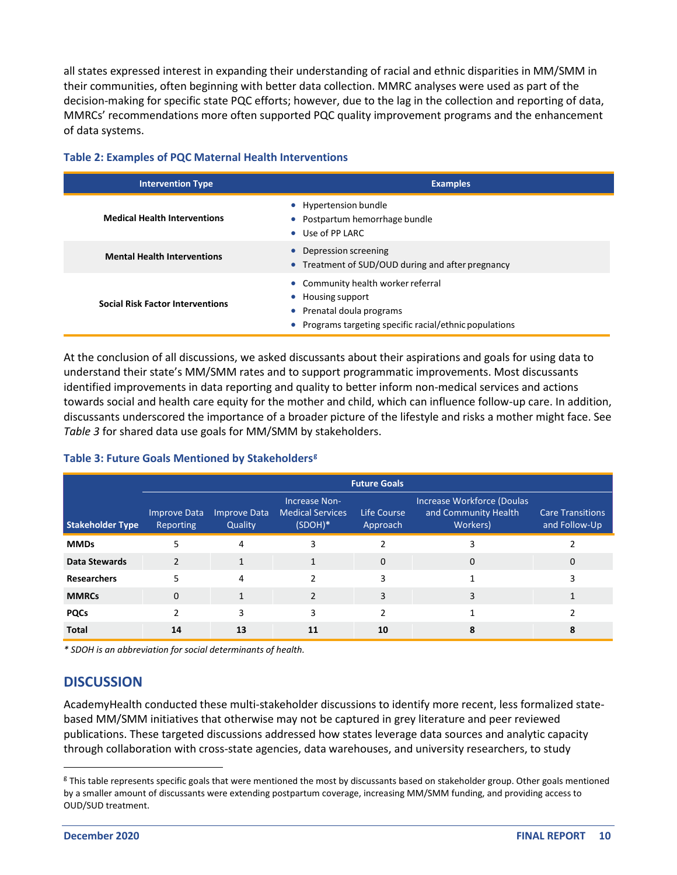<span id="page-13-0"></span>all states expressed interest in expanding their understanding of racial and ethnic disparities in MM/SMM in their communities, often beginning with better data collection. MMRC analyses were used as part of the decision-making for specific state PQC efforts; however, due to the lag in the collection and reporting of data, MMRCs' recommendations more often supported PQC quality improvement programs and the enhancement of data systems.

|  |  | <b>Table 2: Examples of PQC Maternal Health Interventions</b> |  |
|--|--|---------------------------------------------------------------|--|
|--|--|---------------------------------------------------------------|--|

| <b>Intervention Type</b>                | <b>Examples</b>                                                                                                                                 |
|-----------------------------------------|-------------------------------------------------------------------------------------------------------------------------------------------------|
| <b>Medical Health Interventions</b>     | • Hypertension bundle<br>• Postpartum hemorrhage bundle<br>• Use of PP LARC                                                                     |
| <b>Mental Health Interventions</b>      | • Depression screening<br>• Treatment of SUD/OUD during and after pregnancy                                                                     |
| <b>Social Risk Factor Interventions</b> | • Community health worker referral<br>• Housing support<br>• Prenatal doula programs<br>• Programs targeting specific racial/ethnic populations |

At the conclusion of all discussions, we asked discussants about their aspirations and goals for using data to understand their state's MM/SMM rates and to support programmatic improvements. Most discussants identified improvements in data reporting and quality to better inform non-medical services and actions towards social and health care equity for the mother and child, which can influence follow-up care. In addition, discussants underscored the importance of a broader picture of the lifestyle and risks a mother might face. See *Table 3* for shared data use goals for MM/SMM by stakeholders.

#### **Table 3: Future Goals Mentioned by Stakeholders[g](#page-13-1)**

|                         | <b>Future Goals</b>              |                                |                                                       |                         |                                                                |                                          |
|-------------------------|----------------------------------|--------------------------------|-------------------------------------------------------|-------------------------|----------------------------------------------------------------|------------------------------------------|
| <b>Stakeholder Type</b> | Improve Data<br><b>Reporting</b> | <b>Improve Data</b><br>Quality | Increase Non-<br><b>Medical Services</b><br>$(SDOH)*$ | Life Course<br>Approach | Increase Workforce (Doulas<br>and Community Health<br>Workers) | <b>Care Transitions</b><br>and Follow-Up |
| <b>MMDs</b>             |                                  | 4                              | 3                                                     | ำ                       | 3                                                              |                                          |
| Data Stewards           | $\mathcal{P}$                    | 1                              | 1                                                     | $\Omega$                | $\Omega$                                                       | $\Omega$                                 |
| <b>Researchers</b>      | 5                                | 4                              | $\mathcal{P}$                                         | 3                       |                                                                | 3                                        |
| <b>MMRCs</b>            | $\Omega$                         |                                | $\mathcal{P}$                                         | 3                       | 3                                                              |                                          |
| <b>PQCs</b>             |                                  | 3                              | 3                                                     | $\mathfrak{p}$          |                                                                |                                          |
| <b>Total</b>            | 14                               | 13                             | 11                                                    | 10                      | 8                                                              | 8                                        |

*\* SDOH is an abbreviation for social determinants of health.*

#### **DISCUSSION**

AcademyHealth conducted these multi-stakeholder discussions to identify more recent, less formalized statebased MM/SMM initiatives that otherwise may not be captured in grey literature and peer reviewed publications. These targeted discussions addressed how states leverage data sources and analytic capacity through collaboration with cross-state agencies, data warehouses, and university researchers, to study

<span id="page-13-1"></span><sup>&</sup>lt;sup>g</sup> This table represents specific goals that were mentioned the most by discussants based on stakeholder group. Other goals mentioned by a smaller amount of discussants were extending postpartum coverage, increasing MM/SMM funding, and providing access to OUD/SUD treatment.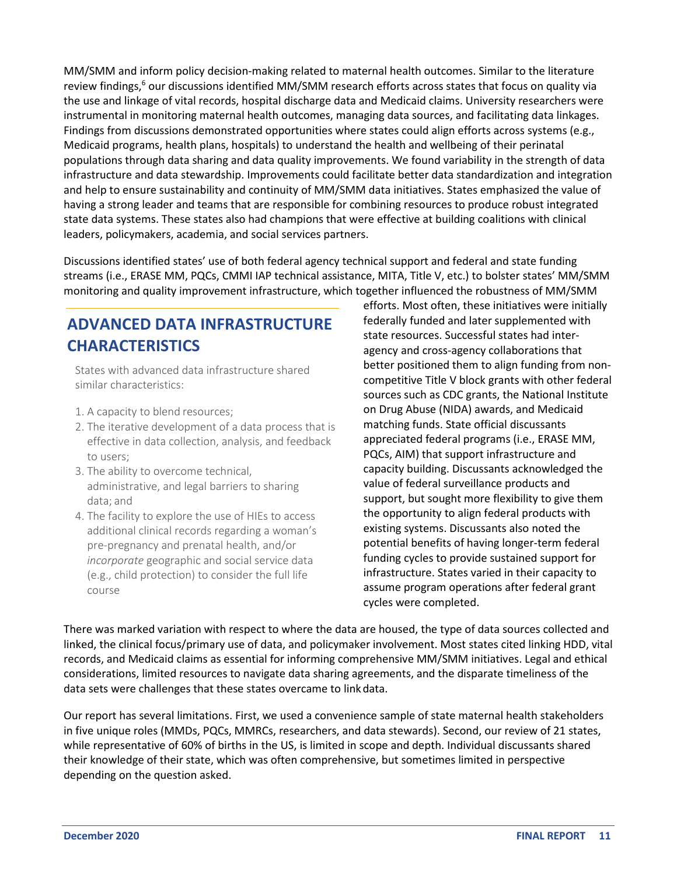MM/SMM and inform policy decision-making related to maternal health outcomes. Similar to the literature review findings[,](#page-19-0)<sup>6</sup> our discussions identified MM/SMM research efforts across states that focus on quality via the use and linkage of vital records, hospital discharge data and Medicaid claims. University researchers were instrumental in monitoring maternal health outcomes, managing data sources, and facilitating data linkages. Findings from discussions demonstrated opportunities where states could align efforts across systems (e.g., Medicaid programs, health plans, hospitals) to understand the health and wellbeing of their perinatal populations through data sharing and data quality improvements. We found variability in the strength of data infrastructure and data stewardship. Improvements could facilitate better data standardization and integration and help to ensure sustainability and continuity of MM/SMM data initiatives. States emphasized the value of having a strong leader and teams that are responsible for combining resources to produce robust integrated state data systems. These states also had champions that were effective at building coalitions with clinical leaders, policymakers, academia, and social services partners.

Discussions identified states' use of both federal agency technical support and federal and state funding streams (i.e., ERASE MM, PQCs, CMMI IAP technical assistance, MITA, Title V, etc.) to bolster states' MM/SMM monitoring and quality improvement infrastructure, which together influenced the robustness of MM/SMM

## **ADVANCED DATA INFRASTRUCTURE CHARACTERISTICS**

States with advanced data infrastructure shared similar characteristics:

- 1. A capacity to blend resources;
- 2. The iterative development of a data process that is effective in data collection, analysis, and feedback to users;
- 3. The ability to overcome technical, administrative, and legal barriers to sharing data; and
- 4. The facility to explore the use of HIEs to access additional clinical records regarding a woman's pre-pregnancy and prenatal health, and/or *incorporate* geographic and social service data (e.g., child protection) to consider the full life course

efforts. Most often, these initiatives were initially federally funded and later supplemented with state resources. Successful states had interagency and cross-agency collaborations that better positioned them to align funding from noncompetitive Title V block grants with other federal sources such as CDC grants, the National Institute on Drug Abuse (NIDA) awards, and Medicaid matching funds. State official discussants appreciated federal programs (i.e., ERASE MM, PQCs, AIM) that support infrastructure and capacity building. Discussants acknowledged the value of federal surveillance products and support, but sought more flexibility to give them the opportunity to align federal products with existing systems. Discussants also noted the potential benefits of having longer-term federal funding cycles to provide sustained support for infrastructure. States varied in their capacity to assume program operations after federal grant cycles were completed.

There was marked variation with respect to where the data are housed, the type of data sources collected and linked, the clinical focus/primary use of data, and policymaker involvement. Most states cited linking HDD, vital records, and Medicaid claims as essential for informing comprehensive MM/SMM initiatives. Legal and ethical considerations, limited resources to navigate data sharing agreements, and the disparate timeliness of the data sets were challenges that these states overcame to linkdata.

Our report has several limitations. First, we used a convenience sample of state maternal health stakeholders in five unique roles (MMDs, PQCs, MMRCs, researchers, and data stewards). Second, our review of 21 states, while representative of 60% of births in the US, is limited in scope and depth. Individual discussants shared their knowledge of their state, which was often comprehensive, but sometimes limited in perspective depending on the question asked.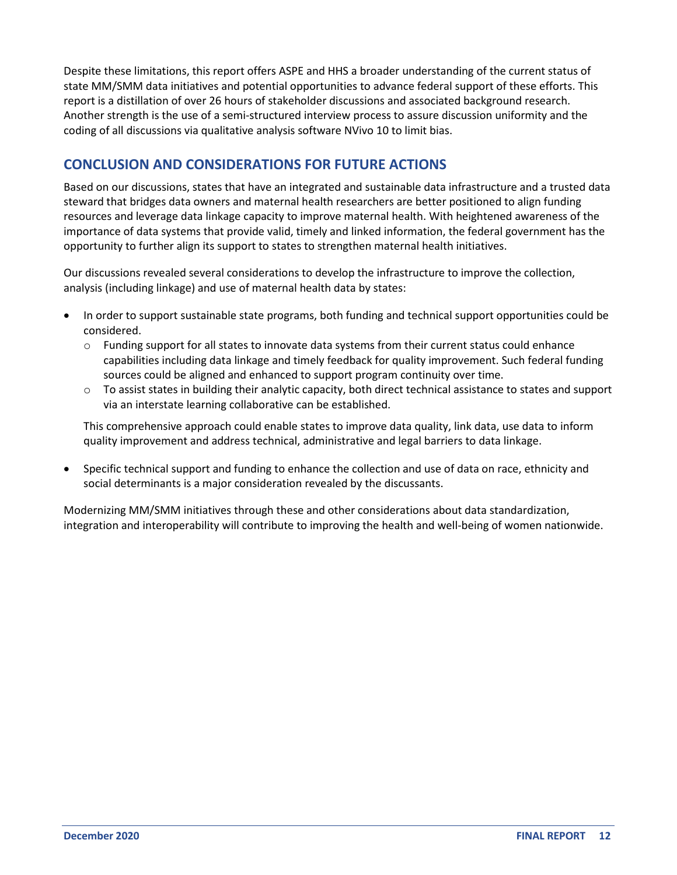<span id="page-15-0"></span>Despite these limitations, this report offers ASPE and HHS a broader understanding of the current status of state MM/SMM data initiatives and potential opportunities to advance federal support of these efforts. This report is a distillation of over 26 hours of stakeholder discussions and associated background research. Another strength is the use of a semi-structured interview process to assure discussion uniformity and the coding of all discussions via qualitative analysis software NVivo 10 to limit bias.

### **CONCLUSION AND CONSIDERATIONS FOR FUTURE ACTIONS**

Based on our discussions, states that have an integrated and sustainable data infrastructure and a trusted data steward that bridges data owners and maternal health researchers are better positioned to align funding resources and leverage data linkage capacity to improve maternal health. With heightened awareness of the importance of data systems that provide valid, timely and linked information, the federal government has the opportunity to further align its support to states to strengthen maternal health initiatives.

Our discussions revealed several considerations to develop the infrastructure to improve the collection, analysis (including linkage) and use of maternal health data by states:

- In order to support sustainable state programs, both funding and technical support opportunities could be considered.
	- o Funding support for all states to innovate data systems from their current status could enhance capabilities including data linkage and timely feedback for quality improvement. Such federal funding sources could be aligned and enhanced to support program continuity over time.
	- $\circ$  To assist states in building their analytic capacity, both direct technical assistance to states and support via an interstate learning collaborative can be established.

This comprehensive approach could enable states to improve data quality, link data, use data to inform quality improvement and address technical, administrative and legal barriers to data linkage.

• Specific technical support and funding to enhance the collection and use of data on race, ethnicity and social determinants is a major consideration revealed by the discussants.

Modernizing MM/SMM initiatives through these and other considerations about data standardization, integration and interoperability will contribute to improving the health and well-being of women nationwide.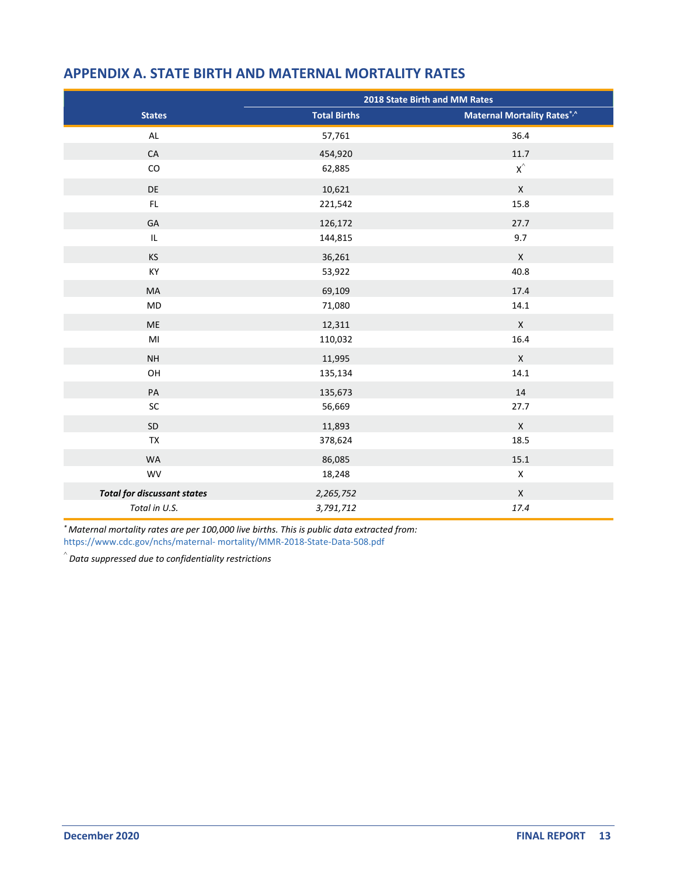|                                    | 2018 State Birth and MM Rates |                                    |  |  |
|------------------------------------|-------------------------------|------------------------------------|--|--|
| <b>States</b>                      | <b>Total Births</b>           | <b>Maternal Mortality Rates*,^</b> |  |  |
| AL                                 | 57,761                        | 36.4                               |  |  |
| CA                                 | 454,920                       | 11.7                               |  |  |
| ${\rm CO}$                         | 62,885                        | $\mathsf{X}^\wedge$                |  |  |
| DE                                 | 10,621                        | $\pmb{\mathsf{X}}$                 |  |  |
| FL.                                | 221,542                       | 15.8                               |  |  |
| GA                                 | 126,172                       | 27.7                               |  |  |
| $\ensuremath{\mathsf{IL}}\xspace$  | 144,815                       | 9.7                                |  |  |
| <b>KS</b>                          | 36,261                        | $\mathsf{X}$                       |  |  |
| KY                                 | 53,922                        | 40.8                               |  |  |
| MA                                 | 69,109                        | 17.4                               |  |  |
| MD                                 | 71,080                        | 14.1                               |  |  |
| <b>ME</b>                          | 12,311                        | $\mathsf{X}$                       |  |  |
| MI                                 | 110,032                       | 16.4                               |  |  |
| <b>NH</b>                          | 11,995                        | $\pmb{\mathsf{X}}$                 |  |  |
| OH                                 | 135,134                       | 14.1                               |  |  |
| PA                                 | 135,673                       | 14                                 |  |  |
| SC                                 | 56,669                        | 27.7                               |  |  |
| SD                                 | 11,893                        | $\pmb{\mathsf{X}}$                 |  |  |
| TX                                 | 378,624                       | 18.5                               |  |  |
| <b>WA</b>                          | 86,085                        | 15.1                               |  |  |
| WV                                 | 18,248                        | $\mathsf X$                        |  |  |
| <b>Total for discussant states</b> | 2,265,752                     | $\pmb{\times}$                     |  |  |
| Total in U.S.                      | 3,791,712                     | 17.4                               |  |  |

#### <span id="page-16-0"></span>**APPENDIX A. STATE BIRTH AND MATERNAL MORTALITY RATES**

*\* Maternal mortality rates are per 100,000 live births. This is public data extracted from:*  [https://www.cdc.gov/nchs/maternal- mortality/MMR-2018-State-Data-508.pdf](https://www.cdc.gov/nchs/maternal-mortality/MMR-2018-State-Data-508.pdf)

^ *Data suppressed due to confidentiality restrictions*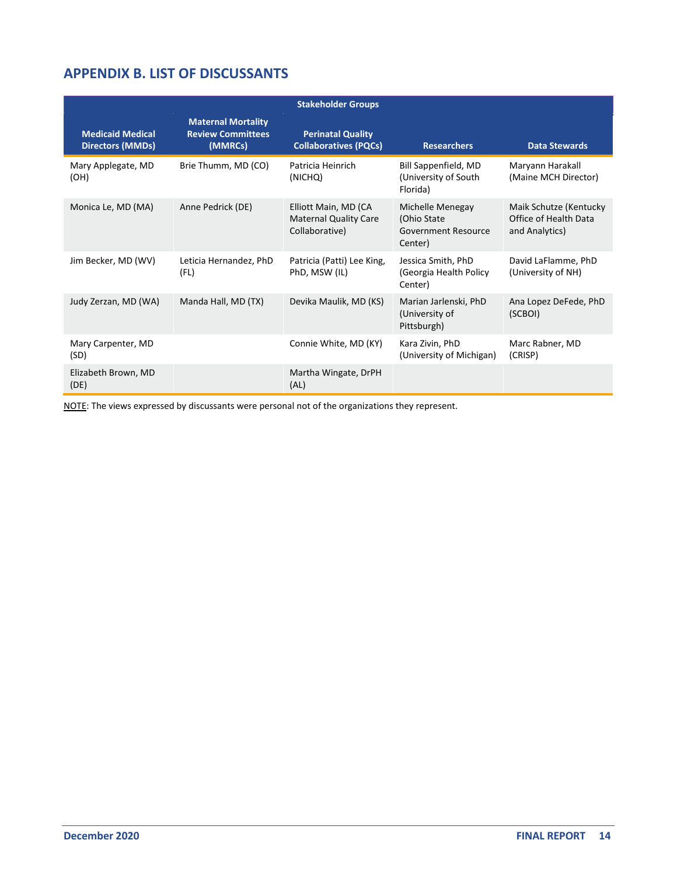## <span id="page-17-0"></span>**APPENDIX B. LIST OF DISCUSSANTS**

|                                                    |                                                                  | <b>Stakeholder Groups</b>                                              |                                                                    |                                                                   |
|----------------------------------------------------|------------------------------------------------------------------|------------------------------------------------------------------------|--------------------------------------------------------------------|-------------------------------------------------------------------|
| <b>Medicaid Medical</b><br><b>Directors (MMDs)</b> | <b>Maternal Mortality</b><br><b>Review Committees</b><br>(MMRCs) | <b>Perinatal Quality</b><br><b>Collaboratives (PQCs)</b>               | <b>Researchers</b>                                                 | <b>Data Stewards</b>                                              |
| Mary Applegate, MD<br>(OH)                         | Brie Thumm, MD (CO)                                              | Patricia Heinrich<br>(NICHQ)                                           | Bill Sappenfield, MD<br>(University of South)<br>Florida)          | Maryann Harakall<br>(Maine MCH Director)                          |
| Monica Le, MD (MA)                                 | Anne Pedrick (DE)                                                | Elliott Main, MD (CA<br><b>Maternal Quality Care</b><br>Collaborative) | Michelle Menegay<br>(Ohio State)<br>Government Resource<br>Center) | Maik Schutze (Kentucky<br>Office of Health Data<br>and Analytics) |
| Jim Becker, MD (WV)                                | Leticia Hernandez, PhD<br>(FL)                                   | Patricia (Patti) Lee King,<br>PhD, MSW (IL)                            | Jessica Smith, PhD<br>(Georgia Health Policy<br>Center)            | David LaFlamme, PhD<br>(University of NH)                         |
| Judy Zerzan, MD (WA)                               | Manda Hall, MD (TX)                                              | Devika Maulik, MD (KS)                                                 | Marian Jarlenski, PhD<br>(University of<br>Pittsburgh)             | Ana Lopez DeFede, PhD<br>(SCBOI)                                  |
| Mary Carpenter, MD<br>(SD)                         |                                                                  | Connie White, MD (KY)                                                  | Kara Zivin, PhD<br>(University of Michigan)                        | Marc Rabner, MD<br>(CRISP)                                        |
| Elizabeth Brown, MD<br>(DE)                        |                                                                  | Martha Wingate, DrPH<br>(AL)                                           |                                                                    |                                                                   |

NOTE: The views expressed by discussants were personal not of the organizations they represent.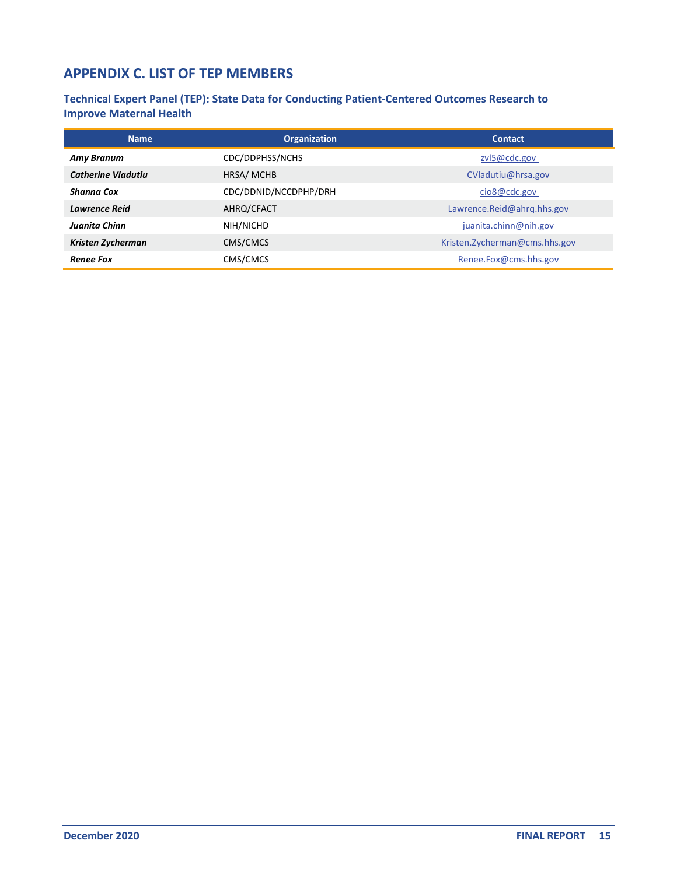## <span id="page-18-0"></span>**APPENDIX C. LIST OF TEP MEMBERS**

**Technical Expert Panel (TEP): State Data for Conducting Patient-Centered Outcomes Research to Improve Maternal Health**

| <b>Name</b>               | <b>Organization</b>   | <b>Contact</b>                 |  |  |
|---------------------------|-----------------------|--------------------------------|--|--|
| <b>Amy Branum</b>         | CDC/DDPHSS/NCHS       | zvl5@cdc.gov                   |  |  |
| <b>Catherine Vladutiu</b> | HRSA/MCHB             | CVladutiu@hrsa.gov             |  |  |
| Shanna Cox                | CDC/DDNID/NCCDPHP/DRH | cio8@cdc.gov                   |  |  |
| <b>Lawrence Reid</b>      | AHRQ/CFACT            | Lawrence.Reid@ahrg.hhs.gov     |  |  |
| Juanita Chinn             | NIH/NICHD             | juanita.chinn@nih.gov          |  |  |
| Kristen Zycherman         | CMS/CMCS              | Kristen. Zycherman@cms.hhs.gov |  |  |
| <b>Renee Fox</b>          | CMS/CMCS              | Renee.Fox@cms.hhs.gov          |  |  |